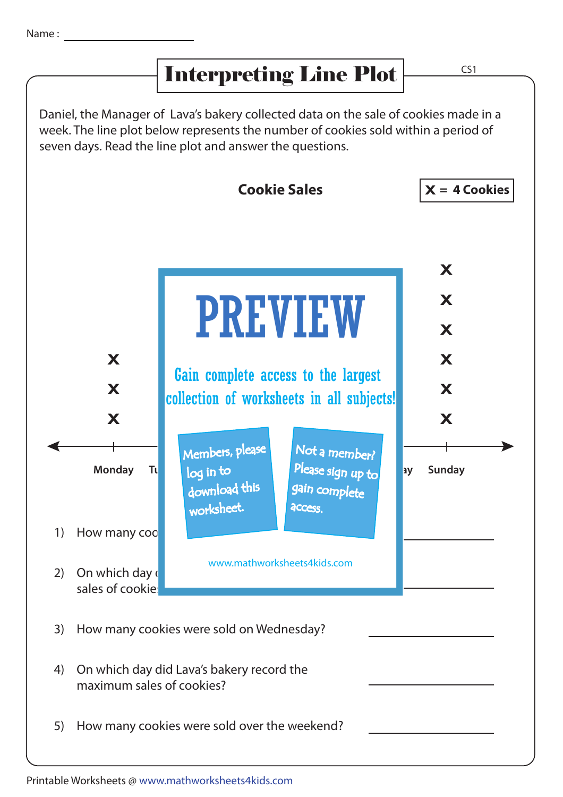## Interpreting Line Plot

CS1

Daniel, the Manager of Lava's bakery collected data on the sale of cookies made in a week. The line plot below represents the number of cookies sold within a period of seven days. Read the line plot and answer the questions.